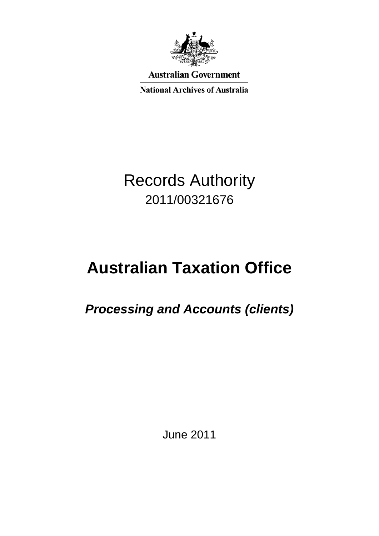

**Australian Government** 

**National Archives of Australia** 

## Records Authority 2011/00321676

# **Australian Taxation Office**

### *Processing and Accounts (clients)*

June 2011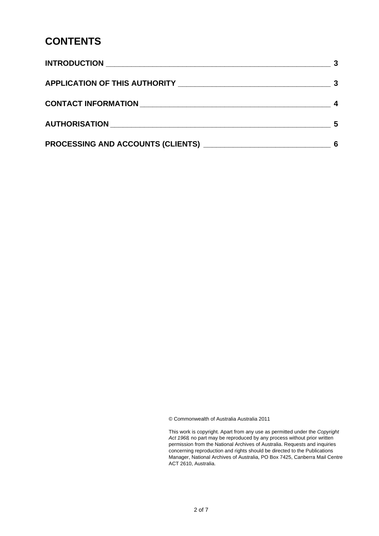#### **CONTENTS**

| CONTACT INFORMATION NATION NATION AND RESERVE TO A RESERVE THE RESERVE TO A RESERVE THE RESERVE THAT A RESERVE THE RESERVE THAT A RESERVE THAT A RESERVE THAT A RESERVE THAT A RESERVE THAT A RESERVE THAT A RESERVE THAT A RE | 4  |
|--------------------------------------------------------------------------------------------------------------------------------------------------------------------------------------------------------------------------------|----|
|                                                                                                                                                                                                                                | -5 |
|                                                                                                                                                                                                                                | 6  |

© Commonwealth of Australia Australia 2011

This work is copyright. Apart from any use as permitted under the *Copyright Act 1968,* no part may be reproduced by any process without prior written permission from the National Archives of Australia. Requests and inquiries concerning reproduction and rights should be directed to the Publications Manager, National Archives of Australia, PO Box 7425, Canberra Mail Centre ACT 2610, Australia.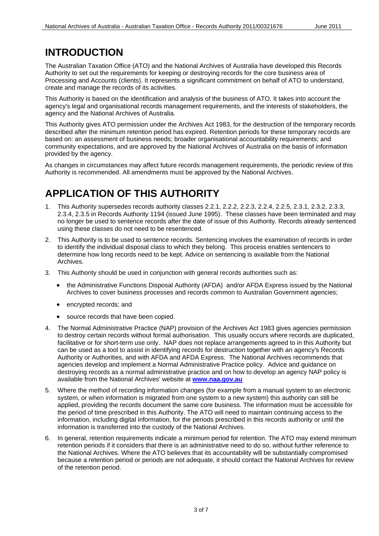#### **INTRODUCTION**

 The Australian Taxation Office (ATO) and the National Archives of Australia have developed this Records Authority to set out the requirements for keeping or destroying records for the core business area of Processing and Accounts (clients). It represents a significant commitment on behalf of ATO to understand, create and manage the records of its activities.

 This Authority is based on the identification and analysis of the business of ATO. It takes into account the agency's legal and organisational records management requirements, and the interests of stakeholders, the agency and the National Archives of Australia.

 This Authority gives ATO permission under the Archives Act 1983, for the destruction of the temporary records described after the minimum retention period has expired. Retention periods for these temporary records are based on: an assessment of business needs; broader organisational accountability requirements; and community expectations, and are approved by the National Archives of Australia on the basis of information provided by the agency.

 As changes in circumstances may affect future records management requirements, the periodic review of this Authority is recommended. All amendments must be approved by the National Archives.

### **APPLICATION OF THIS AUTHORITY**

- 1. This Authority supersedes records authority classes 2.2.1, 2.2.2, 2.2.3, 2.2.4, 2.2.5, 2.3.1, 2.3.2, 2.3.3, 2.3.4, 2.3.5 in Records Authority 1194 (issued June 1995). These classes have been terminated and may no longer be used to sentence records after the date of issue of this Authority. Records already sentenced using these classes do not need to be resentenced.
- 2. This Authority is to be used to sentence records. Sentencing involves the examination of records in order to identify the individual disposal class to which they belong. This process enables sentencers to determine how long records need to be kept. Advice on sentencing is available from the National Archives.
- 3. This Authority should be used in conjunction with general records authorities such as:
	- • the Administrative Functions Disposal Authority (AFDA) and/or AFDA Express issued by the National Archives to cover business processes and records common to Australian Government agencies;
	- encrypted records; and
	- source records that have been copied.
- 4. The Normal Administrative Practice (NAP) provision of the Archives Act 1983 gives agencies permission to destroy certain records without formal authorisation. This usually occurs where records are duplicated, facilitative or for short-term use only. NAP does not replace arrangements agreed to in this Authority but can be used as a tool to assist in identifying records for destruction together with an agency's Records Authority or Authorities, and with AFDA and AFDA Express. The National Archives recommends that agencies develop and implement a Normal Administrative Practice policy. Advice and guidance on destroying records as a normal administrative practice and on how to develop an agency NAP policy is available from the National Archives' website at **[www.naa.gov.au](http://www.naa.gov.au/)**
- 5. Where the method of recording information changes (for example from a manual system to an electronic system, or when information is migrated from one system to a new system) this authority can still be applied, providing the records document the same core business. The information must be accessible for the period of time prescribed in this Authority. The ATO will need to maintain continuing access to the information, including digital information, for the periods prescribed in this records authority or until the information is transferred into the custody of the National Archives.
- 6. In general, retention requirements indicate a minimum period for retention. The ATO may extend minimum retention periods if it considers that there is an administrative need to do so, without further reference to the National Archives. Where the ATO believes that its accountability will be substantially compromised because a retention period or periods are not adequate, it should contact the National Archives for review of the retention period.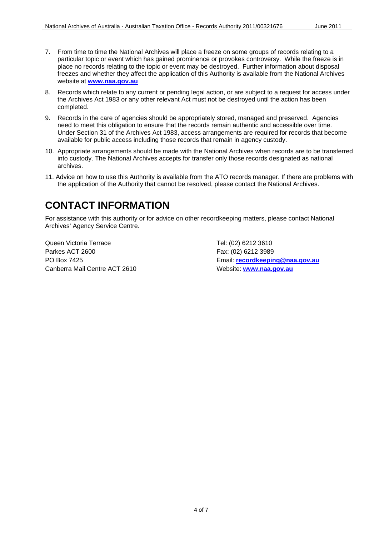- 7. From time to time the National Archives will place a freeze on some groups of records relating to a particular topic or event which has gained prominence or provokes controversy. While the freeze is in place no records relating to the topic or event may be destroyed. Further information about disposal freezes and whether they affect the application of this Authority is available from the National Archives website at **[www.naa.gov.au](http://www.naa.gov.au/)**
- 8. Records which relate to any current or pending legal action, or are subject to a request for access under the Archives Act 1983 or any other relevant Act must not be destroyed until the action has been completed.
- 9. Records in the care of agencies should be appropriately stored, managed and preserved. Agencies need to meet this obligation to ensure that the records remain authentic and accessible over time. Under Section 31 of the Archives Act 1983, access arrangements are required for records that become available for public access including those records that remain in agency custody.
- 10. Appropriate arrangements should be made with the National Archives when records are to be transferred into custody. The National Archives accepts for transfer only those records designated as national archives.
- 11. Advice on how to use this Authority is available from the ATO records manager. If there are problems with the application of the Authority that cannot be resolved, please contact the National Archives.

#### **CONTACT INFORMATION**

 For assistance with this authority or for advice on other recordkeeping matters, please contact National Archives' Agency Service Centre.

Parkes ACT 2600 PO Box 7425 Queen Victoria Terrace Canberra Mail Centre ACT 2610 Website: **[www.naa.gov.au](http://www.naa.gov.au/)** 

Tel: (02) 6212 3610 Fax: (02) 6212 3989 Email: **recordkeeping@naa.gov.au**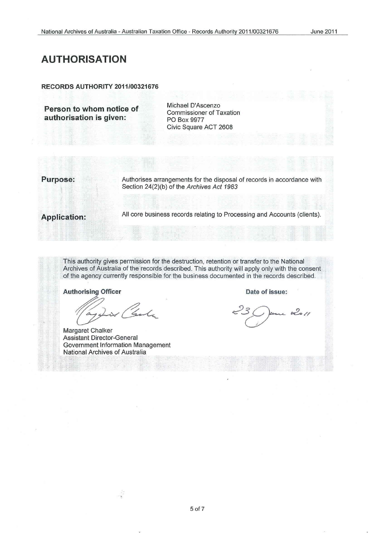#### **AUTHORISATION**

#### **RECORDS AUTHORITY 2011/00321676**

**Person to whom notice of Michael D'Ascenzo <b>authorisation is given: PO Box 9977**<br>**authorisation is given:** PO Box 9977

Civic Square ACT 2608

**Purpose:** Authorises arrangements for the disposal of records in accordance with Section 24(2)(b) of the Archives Act 1983

All core business records relating to Processing and Accounts (clients). **Application:** 

This authority gives permission for the destruction, retention or transfer to the National Archives of Australia of the records described. This authority will apply only with the consent of the agency currently responsible for the business documented in the records described.

**Authorising Officer** 

Gula

Margaret Chalker Assistant Director-General Government Information Management National Archives of Australia

**Date of issue:**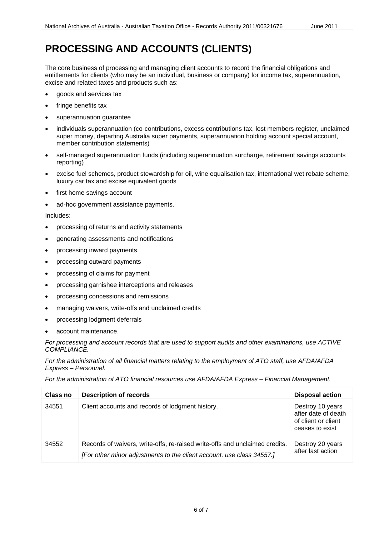#### **PROCESSING AND ACCOUNTS (CLIENTS)**

 The core business of processing and managing client accounts to record the financial obligations and entitlements for clients (who may be an individual, business or company) for income tax, superannuation, excise and related taxes and products such as:

- goods and services tax
- fringe benefits tax
- superannuation quarantee
- • individuals superannuation (co-contributions, excess contributions tax, lost members register, unclaimed super money, departing Australia super payments, superannuation holding account special account, member contribution statements)
- self-managed superannuation funds (including superannuation surcharge, retirement savings accounts reporting)
- • excise fuel schemes, product stewardship for oil, wine equalisation tax, international wet rebate scheme, luxury car tax and excise equivalent goods
- first home savings account
- ad-hoc government assistance payments.

Includes:

- • processing of returns and activity statements
- generating assessments and notifications
- processing inward payments
- processing outward payments
- • processing of claims for payment
- processing garnishee interceptions and releases
- processing concessions and remissions
- • managing waivers, write-offs and unclaimed credits
- processing lodgment deferrals
- account maintenance.

 *For processing and account records that are used to support audits and other examinations, use ACTIVE COMPLIANCE.* 

 *For the administration of all financial matters relating to the employment of ATO staff, use AFDA/AFDA Express – Personnel.* 

 *For the administration of ATO financial resources use AFDA/AFDA Express – Financial Management.* 

| Class no | <b>Description of records</b>                                                                                                                        | <b>Disposal action</b>                                                            |
|----------|------------------------------------------------------------------------------------------------------------------------------------------------------|-----------------------------------------------------------------------------------|
| 34551    | Client accounts and records of lodgment history.                                                                                                     | Destroy 10 years<br>after date of death<br>of client or client<br>ceases to exist |
| 34552    | Records of waivers, write-offs, re-raised write-offs and unclaimed credits.<br>[For other minor adjustments to the client account, use class 34557.] | Destroy 20 years<br>after last action                                             |